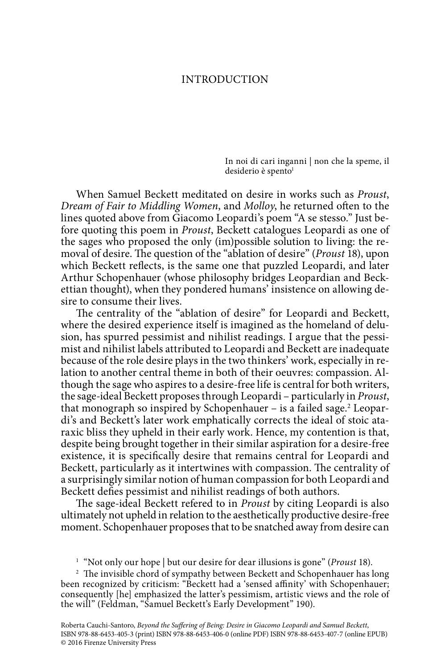## INTRODUCTION

In noi di cari inganni | non che la speme, il desiderio è spento<sup>1</sup>

When Samuel Beckett meditated on desire in works such as *Proust*, *Dream of Fair to Middling Women*, and *Molloy*, he returned often to the lines quoted above from Giacomo Leopardi's poem "A se stesso." Just before quoting this poem in *Proust*, Beckett catalogues Leopardi as one of the sages who proposed the only (im)possible solution to living: the removal of desire. The question of the "ablation of desire" (*Proust* 18), upon which Beckett reflects, is the same one that puzzled Leopardi, and later Arthur Schopenhauer (whose philosophy bridges Leopardian and Beckettian thought), when they pondered humans' insistence on allowing desire to consume their lives.

The centrality of the "ablation of desire" for Leopardi and Beckett, where the desired experience itself is imagined as the homeland of delusion, has spurred pessimist and nihilist readings. I argue that the pessimist and nihilist labels attributed to Leopardi and Beckett are inadequate because of the role desire plays in the two thinkers' work, especially in relation to another central theme in both of their oeuvres: compassion. Although the sage who aspires to a desire-free life is central for both writers, the sage-ideal Beckett proposes through Leopardi – particularly in *Proust*, that monograph so inspired by Schopenhauer – is a failed sage.<sup>2</sup> Leopardi's and Beckett's later work emphatically corrects the ideal of stoic ataraxic bliss they upheld in their early work. Hence, my contention is that, despite being brought together in their similar aspiration for a desire-free existence, it is specifically desire that remains central for Leopardi and Beckett, particularly as it intertwines with compassion. The centrality of a surprisingly similar notion of human compassion for both Leopardi and Beckett defies pessimist and nihilist readings of both authors.

The sage-ideal Beckett refered to in *Proust* by citing Leopardi is also ultimately not upheld in relation to the aesthetically productive desire-free moment. Schopenhauer proposes that to be snatched away from desire can

<sup>1</sup> "Not only our hope | but our desire for dear illusions is gone" (*Proust* 18).

<sup>2</sup> The invisible chord of sympathy between Beckett and Schopenhauer has long been recognized by criticism: "Beckett had a 'sensed affinity' with Schopenhauer; consequently [he] emphasized the latter's pessimism, artistic views and the role of the will" (Feldman, "Samuel Beckett's Early Development" 190).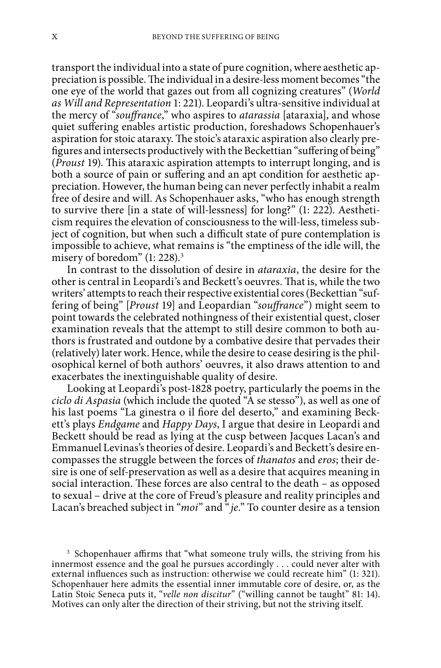transport the individual into a state of pure cognition, where aesthetic appreciation is possible. The individual in a desire-less moment becomes "the one eye of the world that gazes out from all cognizing creatures" (*World as Will and Representation* 1: 221). Leopardi's ultra-sensitive individual at the mercy of "*souffrance*," who aspires to *atarassia* [ataraxia], and whose quiet suffering enables artistic production, foreshadows Schopenhauer's aspiration for stoic ataraxy. The stoic's ataraxic aspiration also clearly prefigures and intersects productively with the Beckettian "suffering of being" (*Proust* 19). This ataraxic aspiration attempts to interrupt longing, and is both a source of pain or suffering and an apt condition for aesthetic appreciation. However, the human being can never perfectly inhabit a realm free of desire and will. As Schopenhauer asks, "who has enough strength to survive there [in a state of will-lessness] for long?" (1: 222). Aestheticism requires the elevation of consciousness to the will-less, timeless subject of cognition, but when such a difficult state of pure contemplation is impossible to achieve, what remains is "the emptiness of the idle will, the misery of boredom" (1: 228).<sup>3</sup>

In contrast to the dissolution of desire in *ataraxia*, the desire for the other is central in Leopardi's and Beckett's oeuvres. That is, while the two writers' attempts to reach their respective existential cores (Beckettian "suffering of being" [*Proust* 19] and Leopardian "*souffrance*") might seem to point towards the celebrated nothingness of their existential quest, closer examination reveals that the attempt to still desire common to both authors is frustrated and outdone by a combative desire that pervades their (relatively) later work. Hence, while the desire to cease desiring is the philosophical kernel of both authors' oeuvres, it also draws attention to and exacerbates the inextinguishable quality of desire.

Looking at Leopardi's post-1828 poetry, particularly the poems in the *ciclo di Aspasia* (which include the quoted "A se stesso"), as well as one of his last poems "La ginestra o il fiore del deserto," and examining Beckett's plays *Endgame* and *Happy Days*, I argue that desire in Leopardi and Beckett should be read as lying at the cusp between Jacques Lacan's and Emmanuel Levinas's theories of desire. Leopardi's and Beckett's desire encompasses the struggle between the forces of *thanatos* and *eros*; their desire is one of self-preservation as well as a desire that acquires meaning in social interaction. These forces are also central to the death – as opposed to sexual – drive at the core of Freud's pleasure and reality principles and Lacan's breached subject in "*moi*" and "*je*." To counter desire as a tension

<sup>3</sup> Schopenhauer affirms that "what someone truly wills, the striving from his innermost essence and the goal he pursues accordingly . . . could never alter with external influences such as instruction: otherwise we could recreate him" (1: 321). Schopenhauer here admits the essential inner immutable core of desire, or, as the Latin Stoic Seneca puts it, "*velle non discitur*" ("willing cannot be taught" 81: 14). Motives can only alter the direction of their striving, but not the striving itself.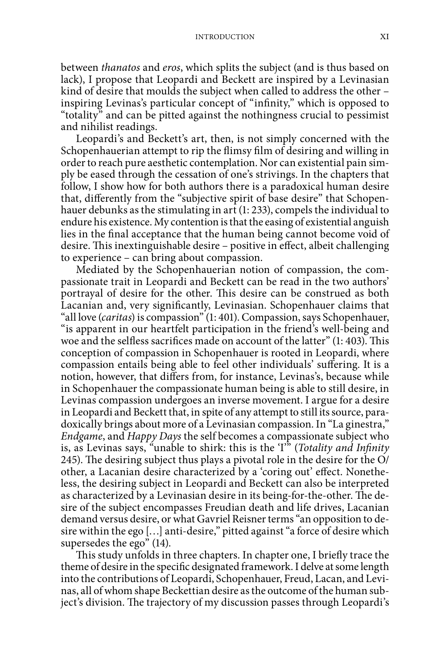between *thanatos* and *eros*, which splits the subject (and is thus based on lack), I propose that Leopardi and Beckett are inspired by a Levinasian kind of desire that moulds the subject when called to address the other – inspiring Levinas's particular concept of "infinity," which is opposed to "totality" and can be pitted against the nothingness crucial to pessimist and nihilist readings.

Leopardi's and Beckett's art, then, is not simply concerned with the Schopenhauerian attempt to rip the flimsy film of desiring and willing in order to reach pure aesthetic contemplation. Nor can existential pain simply be eased through the cessation of one's strivings. In the chapters that follow, I show how for both authors there is a paradoxical human desire that, differently from the "subjective spirit of base desire" that Schopenhauer debunks as the stimulating in art (1: 233), compels the individual to endure his existence. My contention is that the easing of existential anguish lies in the final acceptance that the human being cannot become void of desire. This inextinguishable desire – positive in effect, albeit challenging to experience – can bring about compassion.

Mediated by the Schopenhauerian notion of compassion, the compassionate trait in Leopardi and Beckett can be read in the two authors' portrayal of desire for the other. This desire can be construed as both Lacanian and, very significantly, Levinasian. Schopenhauer claims that "all love (*caritas*) is compassion" (1: 401). Compassion, says Schopenhauer, "is apparent in our heartfelt participation in the friend's well-being and woe and the selfless sacrifices made on account of the latter" (1: 403). This conception of compassion in Schopenhauer is rooted in Leopardi, where compassion entails being able to feel other individuals' suffering. It is a notion, however, that differs from, for instance, Levinas's, because while in Schopenhauer the compassionate human being is able to still desire, in Levinas compassion undergoes an inverse movement. I argue for a desire in Leopardi and Beckett that, in spite of any attempt to still its source, paradoxically brings about more of a Levinasian compassion. In "La ginestra," *Endgame*, and *Happy Days* the self becomes a compassionate subject who is, as Levinas says, "unable to shirk: this is the 'I'" (*Totality and Infinity* 245). The desiring subject thus plays a pivotal role in the desire for the O/ other, a Lacanian desire characterized by a 'coring out' effect. Nonetheless, the desiring subject in Leopardi and Beckett can also be interpreted as characterized by a Levinasian desire in its being-for-the-other. The desire of the subject encompasses Freudian death and life drives, Lacanian demand versus desire, or what Gavriel Reisner terms "an opposition to desire within the ego […] anti-desire," pitted against "a force of desire which supersedes the ego" (14).

This study unfolds in three chapters. In chapter one, I briefly trace the theme of desire in the specific designated framework. I delve at some length into the contributions of Leopardi, Schopenhauer, Freud, Lacan, and Levinas, all of whom shape Beckettian desire as the outcome of the human subject's division. The trajectory of my discussion passes through Leopardi's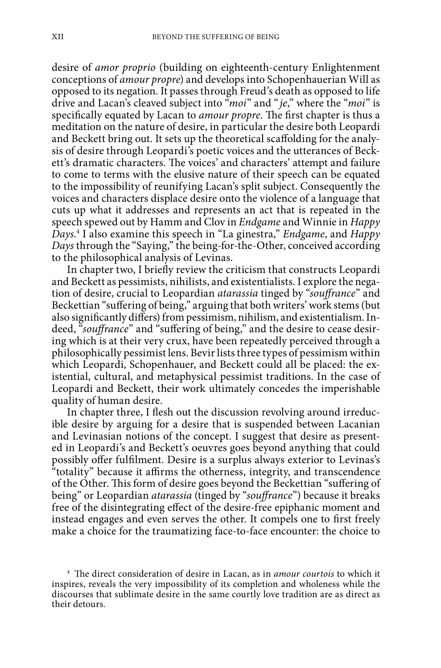desire of *amor proprio* (building on eighteenth-century Enlightenment conceptions of *amour propre*) and develops into Schopenhauerian Will as opposed to its negation. It passes through Freud's death as opposed to life drive and Lacan's cleaved subject into "*moi*" and "*je*," where the "*moi*" is specifically equated by Lacan to *amour propre*. The first chapter is thus a meditation on the nature of desire, in particular the desire both Leopardi and Beckett bring out. It sets up the theoretical scaffolding for the analysis of desire through Leopardi's poetic voices and the utterances of Beckett's dramatic characters. The voices' and characters' attempt and failure to come to terms with the elusive nature of their speech can be equated to the impossibility of reunifying Lacan's split subject. Consequently the voices and characters displace desire onto the violence of a language that cuts up what it addresses and represents an act that is repeated in the speech spewed out by Hamm and Clov in *Endgame* and Winnie in *Happy Days*. 4 I also examine this speech in "La ginestra," *Endgame*, and *Happy Days* through the "Saying," the being-for-the-Other, conceived according to the philosophical analysis of Levinas.

In chapter two, I briefly review the criticism that constructs Leopardi and Beckett as pessimists, nihilists, and existentialists. I explore the negation of desire, crucial to Leopardian *atarassia* tinged by "*souffrance*" and Beckettian "suffering of being," arguing that both writers' work stems (but also significantly differs) from pessimism, nihilism, and existentialism. Indeed, "*souffrance*" and "suffering of being," and the desire to cease desiring which is at their very crux, have been repeatedly perceived through a philosophically pessimist lens. Bevir lists three types of pessimism within which Leopardi, Schopenhauer, and Beckett could all be placed: the existential, cultural, and metaphysical pessimist traditions. In the case of Leopardi and Beckett, their work ultimately concedes the imperishable quality of human desire.

In chapter three, I flesh out the discussion revolving around irreducible desire by arguing for a desire that is suspended between Lacanian and Levinasian notions of the concept. I suggest that desire as presented in Leopardi's and Beckett's oeuvres goes beyond anything that could possibly offer fulfilment. Desire is a surplus always exterior to Levinas's "totality" because it affirms the otherness, integrity, and transcendence of the Other. This form of desire goes beyond the Beckettian "suffering of being" or Leopardian *atarassia* (tinged by "*souffrance*") because it breaks free of the disintegrating effect of the desire-free epiphanic moment and instead engages and even serves the other. It compels one to first freely make a choice for the traumatizing face-to-face encounter: the choice to

<sup>4</sup> The direct consideration of desire in Lacan, as in *amour courtois* to which it inspires, reveals the very impossibility of its completion and wholeness while the discourses that sublimate desire in the same courtly love tradition are as direct as their detours.